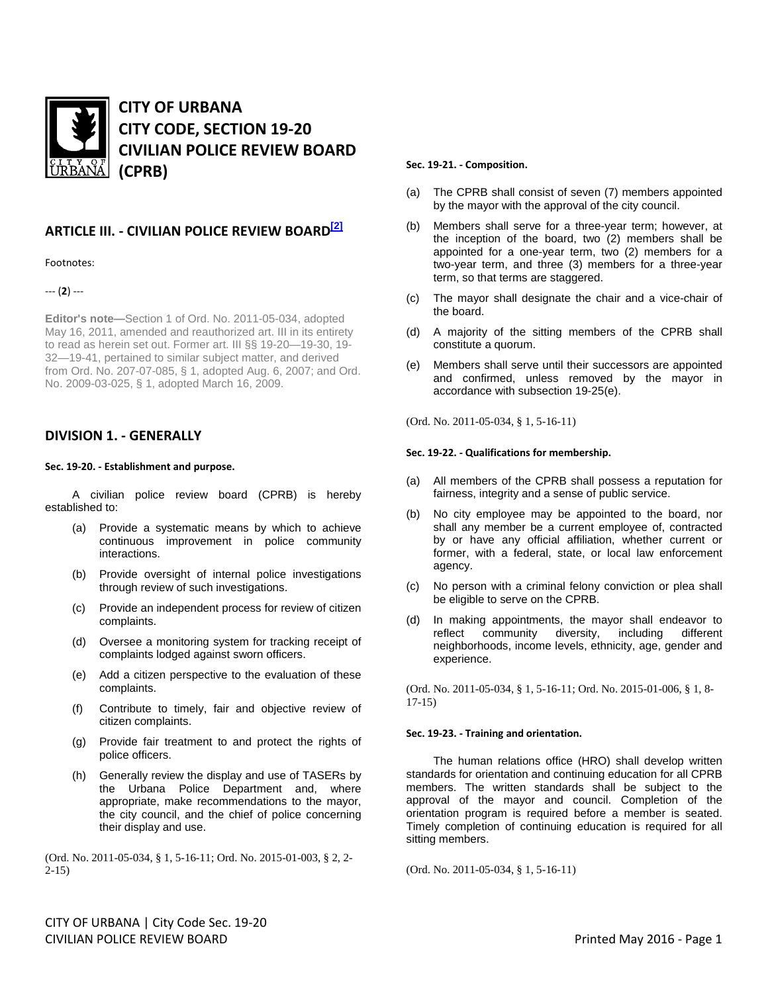

# **CITY OF URBANA CITY CODE, SECTION 19-20 CIVILIAN POLICE REVIEW BOARD (CPRB)**

## **ARTICLE III. - CIVILIAN POLICE REVIEW BOARD[2]**

## Footnotes:

--- (**2**) ---

**Editor's note—**Section 1 of Ord. No. 2011-05-034, adopted May 16, 2011, amended and reauthorized art. III in its entirety to read as herein set out. Former art. III §§ 19-20—19-30, 19- 32—19-41, pertained to similar subject matter, and derived from Ord. No. 207-07-085, § 1, adopted Aug. 6, 2007; and Ord. No. 2009-03-025, § 1, adopted March 16, 2009.

## **DIVISION 1. - GENERALLY**

## **Sec. 19-20. - Establishment and purpose.**

A civilian police review board (CPRB) is hereby established to:

- (a) Provide a systematic means by which to achieve continuous improvement in police community interactions.
- (b) Provide oversight of internal police investigations through review of such investigations.
- (c) Provide an independent process for review of citizen complaints.
- (d) Oversee a monitoring system for tracking receipt of complaints lodged against sworn officers.
- (e) Add a citizen perspective to the evaluation of these complaints.
- (f) Contribute to timely, fair and objective review of citizen complaints.
- (g) Provide fair treatment to and protect the rights of police officers.
- (h) Generally review the display and use of TASERs by the Urbana Police Department and, where appropriate, make recommendations to the mayor, the city council, and the chief of police concerning their display and use.

(Ord. No. 2011-05-034, § 1, 5-16-11; Ord. No. 2015-01-003, § 2, 2- 2-15)

## **Sec. 19-21. - Composition.**

- (a) The CPRB shall consist of seven (7) members appointed by the mayor with the approval of the city council.
- (b) Members shall serve for a three-year term; however, at the inception of the board, two (2) members shall be appointed for a one-year term, two (2) members for a two-year term, and three (3) members for a three-year term, so that terms are staggered.
- (c) The mayor shall designate the chair and a vice-chair of the board.
- (d) A majority of the sitting members of the CPRB shall constitute a quorum.
- (e) Members shall serve until their successors are appointed and confirmed, unless removed by the mayor in accordance with subsection 19-25(e).

(Ord. No. 2011-05-034, § 1, 5-16-11)

## **Sec. 19-22. - Qualifications for membership.**

- (a) All members of the CPRB shall possess a reputation for fairness, integrity and a sense of public service.
- (b) No city employee may be appointed to the board, nor shall any member be a current employee of, contracted by or have any official affiliation, whether current or former, with a federal, state, or local law enforcement agency.
- (c) No person with a criminal felony conviction or plea shall be eligible to serve on the CPRB.
- (d) In making appointments, the mayor shall endeavor to reflect community diversity, including different community diversity, neighborhoods, income levels, ethnicity, age, gender and experience.

(Ord. No. 2011-05-034, § 1, 5-16-11; Ord. No. 2015-01-006, § 1, 8- 17-15)

## **Sec. 19-23. - Training and orientation.**

The human relations office (HRO) shall develop written standards for orientation and continuing education for all CPRB members. The written standards shall be subject to the approval of the mayor and council. Completion of the orientation program is required before a member is seated. Timely completion of continuing education is required for all sitting members.

(Ord. No. 2011-05-034, § 1, 5-16-11)

CITY OF URBANA | City Code Sec. 19-20 CIVILIAN POLICE REVIEW BOARD Printed May 2016 - Page 1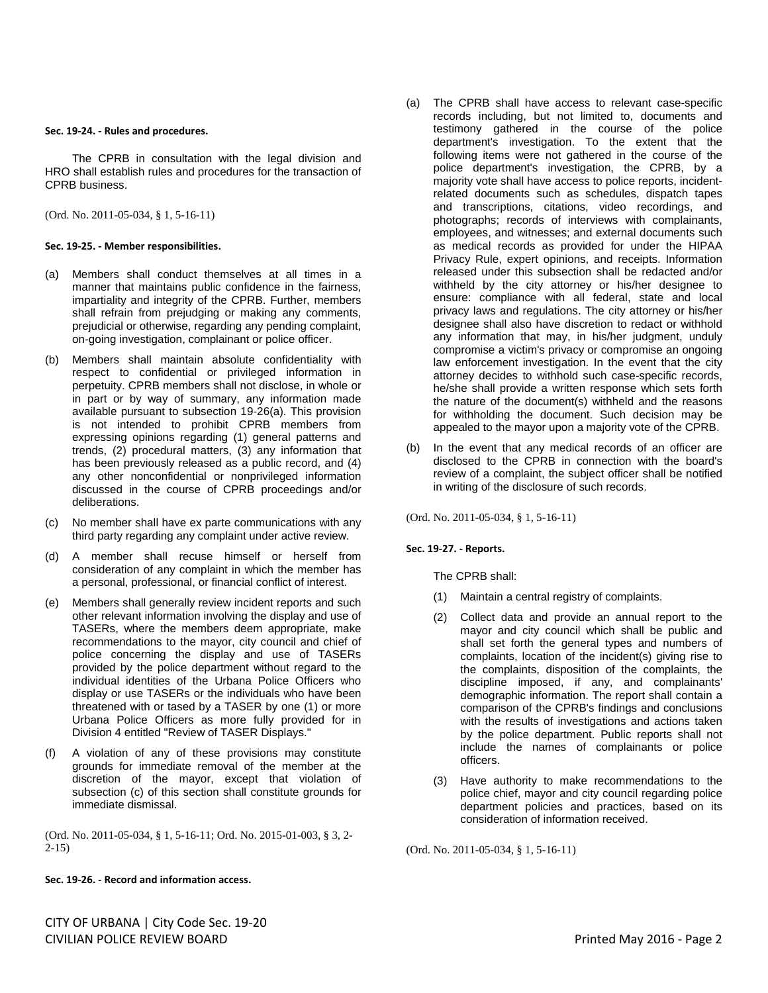#### **Sec. 19-24. - Rules and procedures.**

The CPRB in consultation with the legal division and HRO shall establish rules and procedures for the transaction of CPRB business.

(Ord. No. 2011-05-034, § 1, 5-16-11)

## **Sec. 19-25. - Member responsibilities.**

- (a) Members shall conduct themselves at all times in a manner that maintains public confidence in the fairness, impartiality and integrity of the CPRB. Further, members shall refrain from prejudging or making any comments, prejudicial or otherwise, regarding any pending complaint, on-going investigation, complainant or police officer.
- (b) Members shall maintain absolute confidentiality with respect to confidential or privileged information in perpetuity. CPRB members shall not disclose, in whole or in part or by way of summary, any information made available pursuant to subsection 19-26(a). This provision is not intended to prohibit CPRB members from expressing opinions regarding (1) general patterns and trends, (2) procedural matters, (3) any information that has been previously released as a public record, and (4) any other nonconfidential or nonprivileged information discussed in the course of CPRB proceedings and/or deliberations.
- (c) No member shall have ex parte communications with any third party regarding any complaint under active review.
- (d) A member shall recuse himself or herself from consideration of any complaint in which the member has a personal, professional, or financial conflict of interest.
- (e) Members shall generally review incident reports and such other relevant information involving the display and use of TASERs, where the members deem appropriate, make recommendations to the mayor, city council and chief of police concerning the display and use of TASERs provided by the police department without regard to the individual identities of the Urbana Police Officers who display or use TASERs or the individuals who have been threatened with or tased by a TASER by one (1) or more Urbana Police Officers as more fully provided for in Division 4 entitled "Review of TASER Displays."
- (f) A violation of any of these provisions may constitute grounds for immediate removal of the member at the discretion of the mayor, except that violation of subsection (c) of this section shall constitute grounds for immediate dismissal.

(Ord. No. 2011-05-034, § 1, 5-16-11; Ord. No. 2015-01-003, § 3, 2-  $2 - 15$ )

**Sec. 19-26. - Record and information access.** 

- (a) The CPRB shall have access to relevant case-specific records including, but not limited to, documents and testimony gathered in the course of the police department's investigation. To the extent that the following items were not gathered in the course of the police department's investigation, the CPRB, by a majority vote shall have access to police reports, incidentrelated documents such as schedules, dispatch tapes and transcriptions, citations, video recordings, and photographs; records of interviews with complainants, employees, and witnesses; and external documents such as medical records as provided for under the HIPAA Privacy Rule, expert opinions, and receipts. Information released under this subsection shall be redacted and/or withheld by the city attorney or his/her designee to ensure: compliance with all federal, state and local privacy laws and regulations. The city attorney or his/her designee shall also have discretion to redact or withhold any information that may, in his/her judgment, unduly compromise a victim's privacy or compromise an ongoing law enforcement investigation. In the event that the city attorney decides to withhold such case-specific records, he/she shall provide a written response which sets forth the nature of the document(s) withheld and the reasons for withholding the document. Such decision may be appealed to the mayor upon a majority vote of the CPRB.
- (b) In the event that any medical records of an officer are disclosed to the CPRB in connection with the board's review of a complaint, the subject officer shall be notified in writing of the disclosure of such records.

(Ord. No. 2011-05-034, § 1, 5-16-11)

## **Sec. 19-27. - Reports.**

The CPRB shall:

- (1) Maintain a central registry of complaints.
- (2) Collect data and provide an annual report to the mayor and city council which shall be public and shall set forth the general types and numbers of complaints, location of the incident(s) giving rise to the complaints, disposition of the complaints, the discipline imposed, if any, and complainants' demographic information. The report shall contain a comparison of the CPRB's findings and conclusions with the results of investigations and actions taken by the police department. Public reports shall not include the names of complainants or police officers.
- (3) Have authority to make recommendations to the police chief, mayor and city council regarding police department policies and practices, based on its consideration of information received.

(Ord. No. 2011-05-034, § 1, 5-16-11)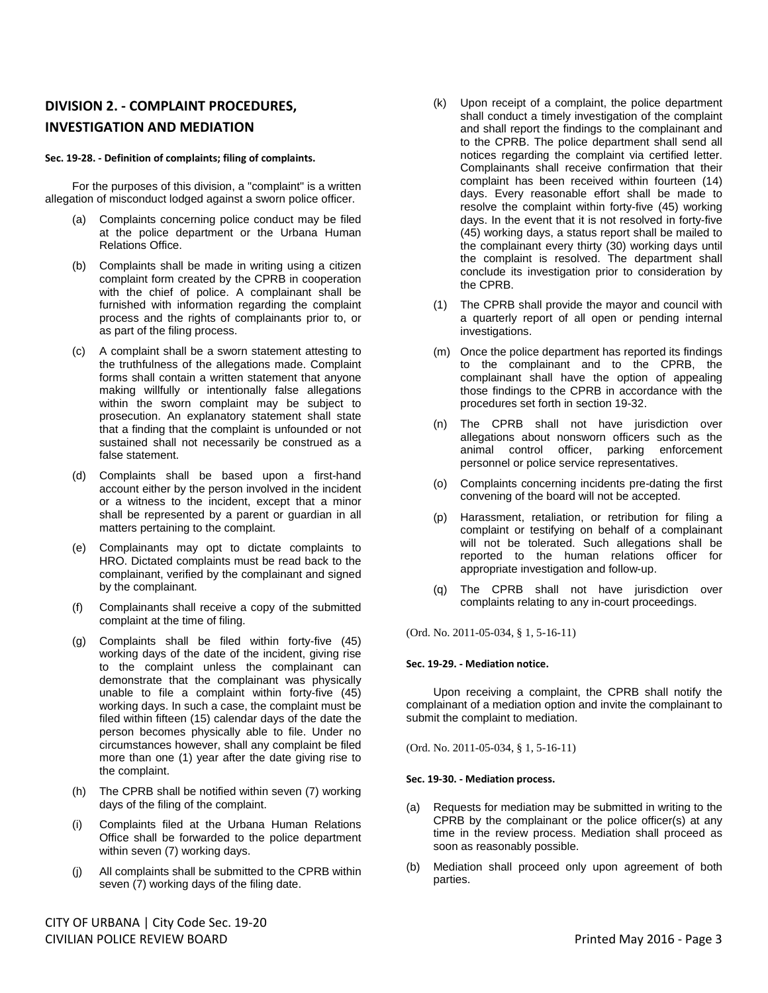## **DIVISION 2. - COMPLAINT PROCEDURES, INVESTIGATION AND MEDIATION**

## **Sec. 19-28. - Definition of complaints; filing of complaints.**

For the purposes of this division, a "complaint" is a written allegation of misconduct lodged against a sworn police officer.

- (a) Complaints concerning police conduct may be filed at the police department or the Urbana Human Relations Office.
- (b) Complaints shall be made in writing using a citizen complaint form created by the CPRB in cooperation with the chief of police. A complainant shall be furnished with information regarding the complaint process and the rights of complainants prior to, or as part of the filing process.
- (c) A complaint shall be a sworn statement attesting to the truthfulness of the allegations made. Complaint forms shall contain a written statement that anyone making willfully or intentionally false allegations within the sworn complaint may be subject to prosecution. An explanatory statement shall state that a finding that the complaint is unfounded or not sustained shall not necessarily be construed as a false statement.
- (d) Complaints shall be based upon a first-hand account either by the person involved in the incident or a witness to the incident, except that a minor shall be represented by a parent or guardian in all matters pertaining to the complaint.
- (e) Complainants may opt to dictate complaints to HRO. Dictated complaints must be read back to the complainant, verified by the complainant and signed by the complainant.
- (f) Complainants shall receive a copy of the submitted complaint at the time of filing.
- (g) Complaints shall be filed within forty-five (45) working days of the date of the incident, giving rise to the complaint unless the complainant can demonstrate that the complainant was physically unable to file a complaint within forty-five (45) working days. In such a case, the complaint must be filed within fifteen (15) calendar days of the date the person becomes physically able to file. Under no circumstances however, shall any complaint be filed more than one (1) year after the date giving rise to the complaint.
- (h) The CPRB shall be notified within seven (7) working days of the filing of the complaint.
- (i) Complaints filed at the Urbana Human Relations Office shall be forwarded to the police department within seven (7) working days.
- (j) All complaints shall be submitted to the CPRB within seven (7) working days of the filing date.
- (k) Upon receipt of a complaint, the police department shall conduct a timely investigation of the complaint and shall report the findings to the complainant and to the CPRB. The police department shall send all notices regarding the complaint via certified letter. Complainants shall receive confirmation that their complaint has been received within fourteen (14) days. Every reasonable effort shall be made to resolve the complaint within forty-five (45) working days. In the event that it is not resolved in forty-five (45) working days, a status report shall be mailed to the complainant every thirty (30) working days until the complaint is resolved. The department shall conclude its investigation prior to consideration by the CPRB.
- (1) The CPRB shall provide the mayor and council with a quarterly report of all open or pending internal investigations.
- (m) Once the police department has reported its findings to the complainant and to the CPRB, the complainant shall have the option of appealing those findings to the CPRB in accordance with the procedures set forth in section 19-32.
- (n) The CPRB shall not have jurisdiction over allegations about nonsworn officers such as the animal control officer, parking enforcement personnel or police service representatives.
- (o) Complaints concerning incidents pre-dating the first convening of the board will not be accepted.
- (p) Harassment, retaliation, or retribution for filing a complaint or testifying on behalf of a complainant will not be tolerated. Such allegations shall be reported to the human relations officer for appropriate investigation and follow-up.
- (q) The CPRB shall not have jurisdiction over complaints relating to any in-court proceedings.

(Ord. No. 2011-05-034, § 1, 5-16-11)

## **Sec. 19-29. - Mediation notice.**

Upon receiving a complaint, the CPRB shall notify the complainant of a mediation option and invite the complainant to submit the complaint to mediation.

(Ord. No. 2011-05-034, § 1, 5-16-11)

## **Sec. 19-30. - Mediation process.**

- (a) Requests for mediation may be submitted in writing to the CPRB by the complainant or the police officer(s) at any time in the review process. Mediation shall proceed as soon as reasonably possible.
- (b) Mediation shall proceed only upon agreement of both parties.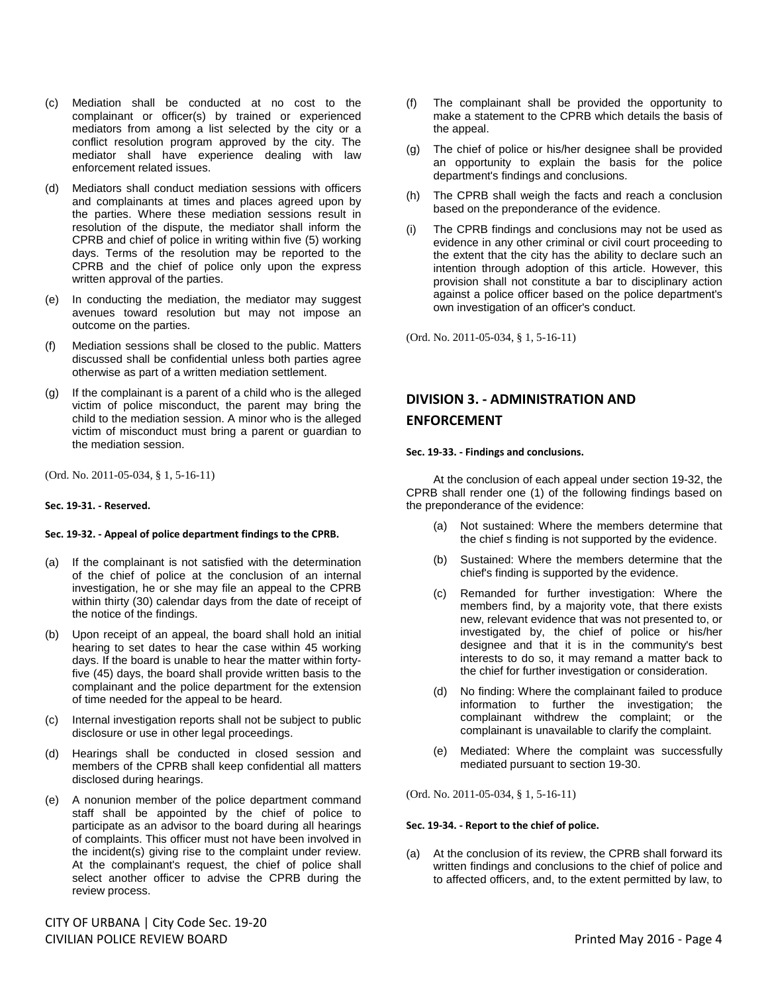- (c) Mediation shall be conducted at no cost to the complainant or officer(s) by trained or experienced mediators from among a list selected by the city or a conflict resolution program approved by the city. The mediator shall have experience dealing with law enforcement related issues.
- (d) Mediators shall conduct mediation sessions with officers and complainants at times and places agreed upon by the parties. Where these mediation sessions result in resolution of the dispute, the mediator shall inform the CPRB and chief of police in writing within five (5) working days. Terms of the resolution may be reported to the CPRB and the chief of police only upon the express written approval of the parties.
- (e) In conducting the mediation, the mediator may suggest avenues toward resolution but may not impose an outcome on the parties.
- (f) Mediation sessions shall be closed to the public. Matters discussed shall be confidential unless both parties agree otherwise as part of a written mediation settlement.
- (g) If the complainant is a parent of a child who is the alleged victim of police misconduct, the parent may bring the child to the mediation session. A minor who is the alleged victim of misconduct must bring a parent or guardian to the mediation session.

(Ord. No. 2011-05-034, § 1, 5-16-11)

## **Sec. 19-31. - Reserved.**

## **Sec. 19-32. - Appeal of police department findings to the CPRB.**

- (a) If the complainant is not satisfied with the determination of the chief of police at the conclusion of an internal investigation, he or she may file an appeal to the CPRB within thirty (30) calendar days from the date of receipt of the notice of the findings.
- (b) Upon receipt of an appeal, the board shall hold an initial hearing to set dates to hear the case within 45 working days. If the board is unable to hear the matter within fortyfive (45) days, the board shall provide written basis to the complainant and the police department for the extension of time needed for the appeal to be heard.
- (c) Internal investigation reports shall not be subject to public disclosure or use in other legal proceedings.
- (d) Hearings shall be conducted in closed session and members of the CPRB shall keep confidential all matters disclosed during hearings.
- (e) A nonunion member of the police department command staff shall be appointed by the chief of police to participate as an advisor to the board during all hearings of complaints. This officer must not have been involved in the incident(s) giving rise to the complaint under review. At the complainant's request, the chief of police shall select another officer to advise the CPRB during the review process.

CITY OF URBANA | City Code Sec. 19-20 CIVILIAN POLICE REVIEW BOARD Printed May 2016 - Page 4

- (f) The complainant shall be provided the opportunity to make a statement to the CPRB which details the basis of the appeal.
- (g) The chief of police or his/her designee shall be provided an opportunity to explain the basis for the police department's findings and conclusions.
- (h) The CPRB shall weigh the facts and reach a conclusion based on the preponderance of the evidence.
- (i) The CPRB findings and conclusions may not be used as evidence in any other criminal or civil court proceeding to the extent that the city has the ability to declare such an intention through adoption of this article. However, this provision shall not constitute a bar to disciplinary action against a police officer based on the police department's own investigation of an officer's conduct.

(Ord. No. 2011-05-034, § 1, 5-16-11)

# **DIVISION 3. - ADMINISTRATION AND ENFORCEMENT**

## **Sec. 19-33. - Findings and conclusions.**

At the conclusion of each appeal under section 19-32, the CPRB shall render one (1) of the following findings based on the preponderance of the evidence:

- (a) Not sustained: Where the members determine that the chief s finding is not supported by the evidence.
- (b) Sustained: Where the members determine that the chief's finding is supported by the evidence.
- (c) Remanded for further investigation: Where the members find, by a majority vote, that there exists new, relevant evidence that was not presented to, or investigated by, the chief of police or his/her designee and that it is in the community's best interests to do so, it may remand a matter back to the chief for further investigation or consideration.
- (d) No finding: Where the complainant failed to produce information to further the investigation; the complainant withdrew the complaint; or the complainant is unavailable to clarify the complaint.
- (e) Mediated: Where the complaint was successfully mediated pursuant to section 19-30.

(Ord. No. 2011-05-034, § 1, 5-16-11)

## **Sec. 19-34. - Report to the chief of police.**

(a) At the conclusion of its review, the CPRB shall forward its written findings and conclusions to the chief of police and to affected officers, and, to the extent permitted by law, to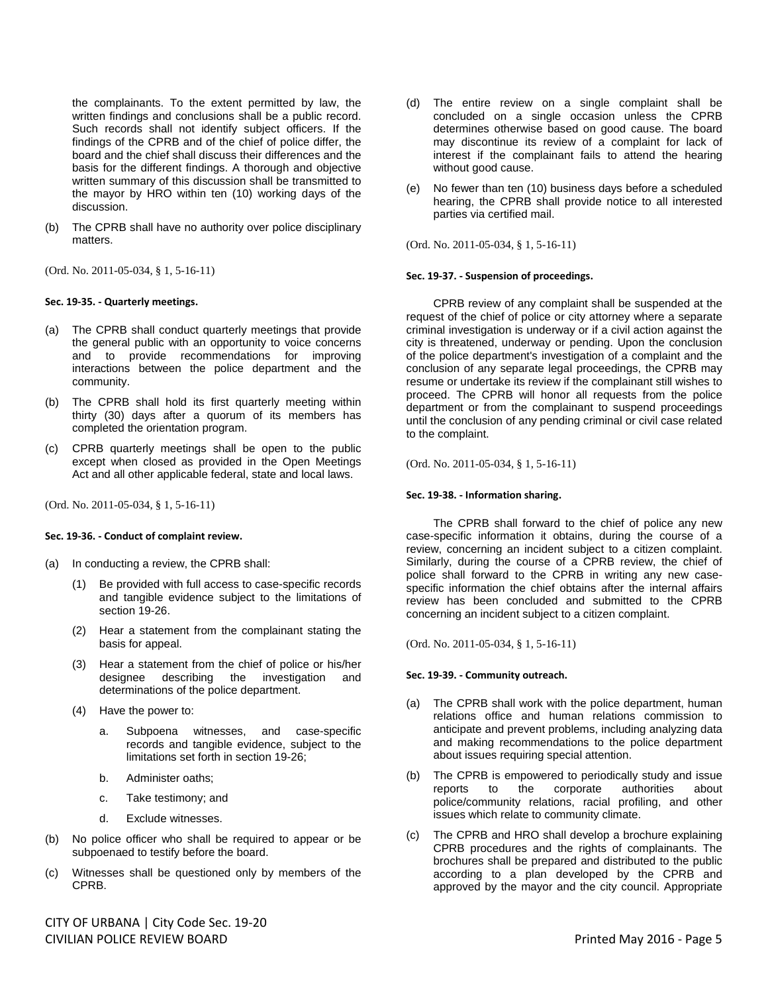the complainants. To the extent permitted by law, the written findings and conclusions shall be a public record. Such records shall not identify subject officers. If the findings of the CPRB and of the chief of police differ, the board and the chief shall discuss their differences and the basis for the different findings. A thorough and objective written summary of this discussion shall be transmitted to the mayor by HRO within ten (10) working days of the discussion.

- (b) The CPRB shall have no authority over police disciplinary matters.
- (Ord. No. 2011-05-034, § 1, 5-16-11)

## **Sec. 19-35. - Quarterly meetings.**

- (a) The CPRB shall conduct quarterly meetings that provide the general public with an opportunity to voice concerns and to provide recommendations for improving interactions between the police department and the community.
- (b) The CPRB shall hold its first quarterly meeting within thirty (30) days after a quorum of its members has completed the orientation program.
- (c) CPRB quarterly meetings shall be open to the public except when closed as provided in the Open Meetings Act and all other applicable federal, state and local laws.

(Ord. No. 2011-05-034, § 1, 5-16-11)

## **Sec. 19-36. - Conduct of complaint review.**

- (a) In conducting a review, the CPRB shall:
	- (1) Be provided with full access to case-specific records and tangible evidence subject to the limitations of section 19-26.
	- (2) Hear a statement from the complainant stating the basis for appeal.
	- (3) Hear a statement from the chief of police or his/her designee describing the investigation and determinations of the police department.
	- (4) Have the power to:
		- a. Subpoena witnesses, and case-specific records and tangible evidence, subject to the limitations set forth in section 19-26;
		- b. Administer oaths;
		- c. Take testimony; and
		- d. Exclude witnesses.
- (b) No police officer who shall be required to appear or be subpoenaed to testify before the board.
- (c) Witnesses shall be questioned only by members of the CPRB.
- CITY OF URBANA | City Code Sec. 19-20 CIVILIAN POLICE REVIEW BOARD Printed May 2016 - Page 5
- (d) The entire review on a single complaint shall be concluded on a single occasion unless the CPRB determines otherwise based on good cause. The board may discontinue its review of a complaint for lack of interest if the complainant fails to attend the hearing without good cause.
- (e) No fewer than ten (10) business days before a scheduled hearing, the CPRB shall provide notice to all interested parties via certified mail.

(Ord. No. 2011-05-034, § 1, 5-16-11)

## **Sec. 19-37. - Suspension of proceedings.**

CPRB review of any complaint shall be suspended at the request of the chief of police or city attorney where a separate criminal investigation is underway or if a civil action against the city is threatened, underway or pending. Upon the conclusion of the police department's investigation of a complaint and the conclusion of any separate legal proceedings, the CPRB may resume or undertake its review if the complainant still wishes to proceed. The CPRB will honor all requests from the police department or from the complainant to suspend proceedings until the conclusion of any pending criminal or civil case related to the complaint.

(Ord. No. 2011-05-034, § 1, 5-16-11)

## **Sec. 19-38. - Information sharing.**

The CPRB shall forward to the chief of police any new case-specific information it obtains, during the course of a review, concerning an incident subject to a citizen complaint. Similarly, during the course of a CPRB review, the chief of police shall forward to the CPRB in writing any new casespecific information the chief obtains after the internal affairs review has been concluded and submitted to the CPRB concerning an incident subject to a citizen complaint.

(Ord. No. 2011-05-034, § 1, 5-16-11)

## **Sec. 19-39. - Community outreach.**

- (a) The CPRB shall work with the police department, human relations office and human relations commission to anticipate and prevent problems, including analyzing data and making recommendations to the police department about issues requiring special attention.
- (b) The CPRB is empowered to periodically study and issue<br>reports to the corporate authorities about reports to the corporate authorities about police/community relations, racial profiling, and other issues which relate to community climate.
- (c) The CPRB and HRO shall develop a brochure explaining CPRB procedures and the rights of complainants. The brochures shall be prepared and distributed to the public according to a plan developed by the CPRB and approved by the mayor and the city council. Appropriate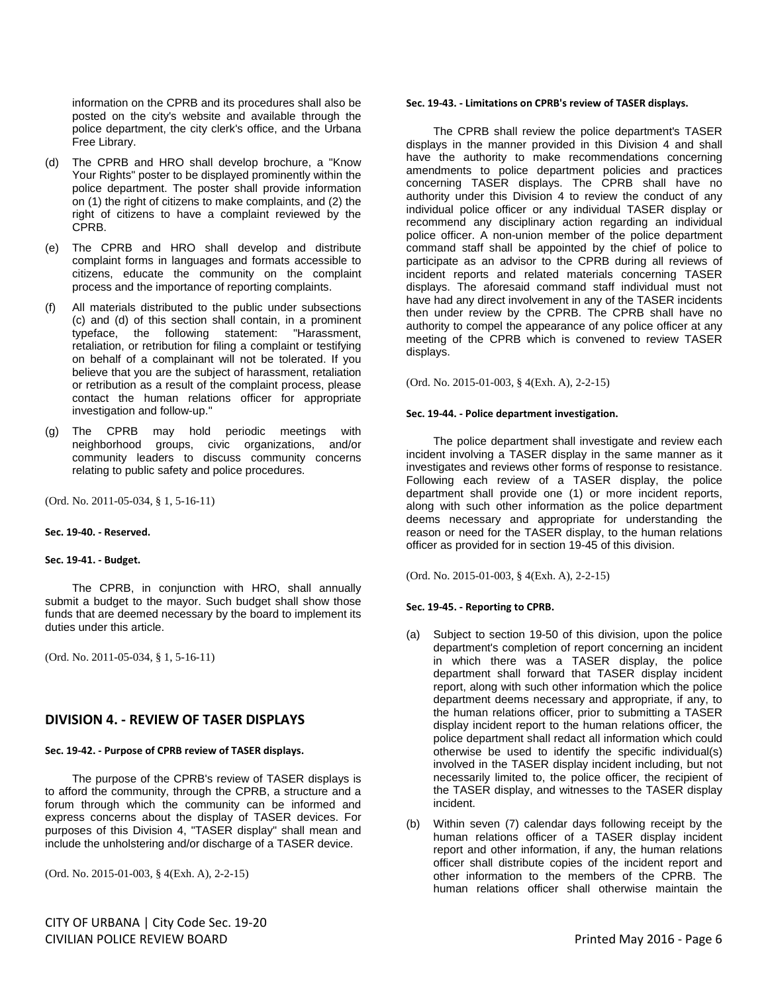information on the CPRB and its procedures shall also be posted on the city's website and available through the police department, the city clerk's office, and the Urbana Free Library.

- (d) The CPRB and HRO shall develop brochure, a "Know Your Rights" poster to be displayed prominently within the police department. The poster shall provide information on (1) the right of citizens to make complaints, and (2) the right of citizens to have a complaint reviewed by the CPRB.
- (e) The CPRB and HRO shall develop and distribute complaint forms in languages and formats accessible to citizens, educate the community on the complaint process and the importance of reporting complaints.
- (f) All materials distributed to the public under subsections (c) and (d) of this section shall contain, in a prominent typeface, the following statement: "Harassment, retaliation, or retribution for filing a complaint or testifying on behalf of a complainant will not be tolerated. If you believe that you are the subject of harassment, retaliation or retribution as a result of the complaint process, please contact the human relations officer for appropriate investigation and follow-up."
- (g) The CPRB may hold periodic meetings with neighborhood groups, civic organizations, and/or community leaders to discuss community concerns relating to public safety and police procedures.

(Ord. No. 2011-05-034, § 1, 5-16-11)

#### **Sec. 19-40. - Reserved.**

#### **Sec. 19-41. - Budget.**

The CPRB, in conjunction with HRO, shall annually submit a budget to the mayor. Such budget shall show those funds that are deemed necessary by the board to implement its duties under this article.

(Ord. No. 2011-05-034, § 1, 5-16-11)

## **DIVISION 4. - REVIEW OF TASER DISPLAYS**

## **Sec. 19-42. - Purpose of CPRB review of TASER displays.**

The purpose of the CPRB's review of TASER displays is to afford the community, through the CPRB, a structure and a forum through which the community can be informed and express concerns about the display of TASER devices. For purposes of this Division 4, "TASER display" shall mean and include the unholstering and/or discharge of a TASER device.

(Ord. No. 2015-01-003, § 4(Exh. A), 2-2-15)

CITY OF URBANA | City Code Sec. 19-20 CIVILIAN POLICE REVIEW BOARD Printed May 2016 - Page 6

## **Sec. 19-43. - Limitations on CPRB's review of TASER displays.**

The CPRB shall review the police department's TASER displays in the manner provided in this Division 4 and shall have the authority to make recommendations concerning amendments to police department policies and practices concerning TASER displays. The CPRB shall have no authority under this Division 4 to review the conduct of any individual police officer or any individual TASER display or recommend any disciplinary action regarding an individual police officer. A non-union member of the police department command staff shall be appointed by the chief of police to participate as an advisor to the CPRB during all reviews of incident reports and related materials concerning TASER displays. The aforesaid command staff individual must not have had any direct involvement in any of the TASER incidents then under review by the CPRB. The CPRB shall have no authority to compel the appearance of any police officer at any meeting of the CPRB which is convened to review TASER displays.

(Ord. No. 2015-01-003, § 4(Exh. A), 2-2-15)

## **Sec. 19-44. - Police department investigation.**

The police department shall investigate and review each incident involving a TASER display in the same manner as it investigates and reviews other forms of response to resistance. Following each review of a TASER display, the police department shall provide one (1) or more incident reports, along with such other information as the police department deems necessary and appropriate for understanding the reason or need for the TASER display, to the human relations officer as provided for in section 19-45 of this division.

(Ord. No. 2015-01-003, § 4(Exh. A), 2-2-15)

## **Sec. 19-45. - Reporting to CPRB.**

- (a) Subject to section 19-50 of this division, upon the police department's completion of report concerning an incident in which there was a TASER display, the police department shall forward that TASER display incident report, along with such other information which the police department deems necessary and appropriate, if any, to the human relations officer, prior to submitting a TASER display incident report to the human relations officer, the police department shall redact all information which could otherwise be used to identify the specific individual(s) involved in the TASER display incident including, but not necessarily limited to, the police officer, the recipient of the TASER display, and witnesses to the TASER display incident.
- (b) Within seven (7) calendar days following receipt by the human relations officer of a TASER display incident report and other information, if any, the human relations officer shall distribute copies of the incident report and other information to the members of the CPRB. The human relations officer shall otherwise maintain the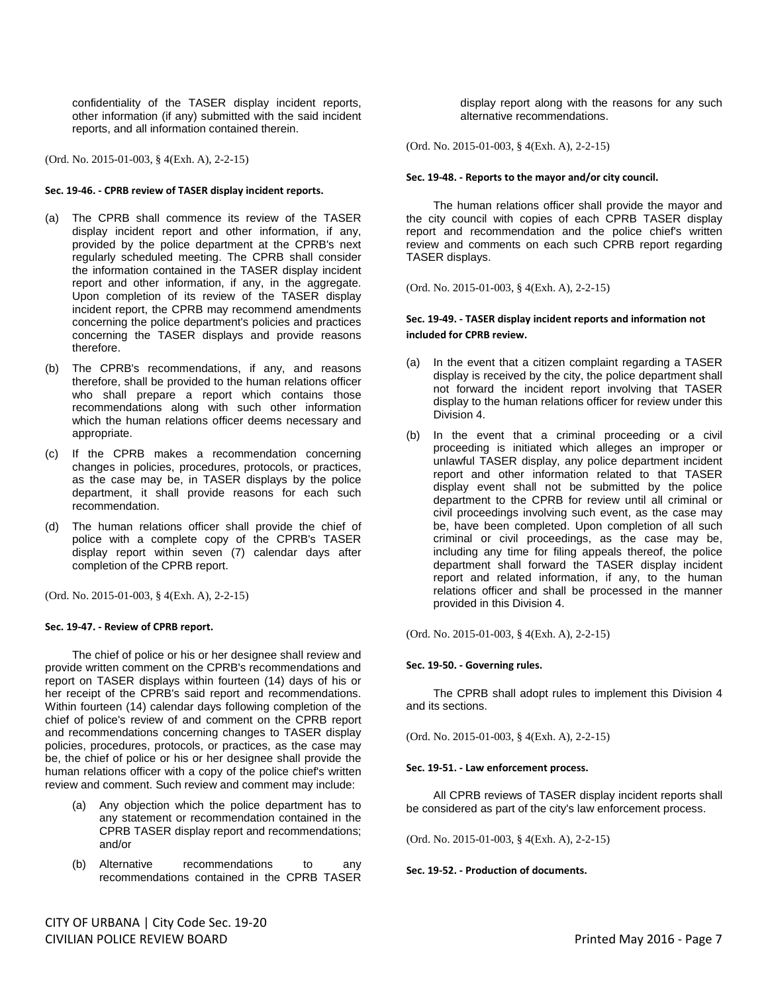confidentiality of the TASER display incident reports, other information (if any) submitted with the said incident reports, and all information contained therein.

(Ord. No. 2015-01-003, § 4(Exh. A), 2-2-15)

### **Sec. 19-46. - CPRB review of TASER display incident reports.**

- (a) The CPRB shall commence its review of the TASER display incident report and other information, if any, provided by the police department at the CPRB's next regularly scheduled meeting. The CPRB shall consider the information contained in the TASER display incident report and other information, if any, in the aggregate. Upon completion of its review of the TASER display incident report, the CPRB may recommend amendments concerning the police department's policies and practices concerning the TASER displays and provide reasons therefore.
- (b) The CPRB's recommendations, if any, and reasons therefore, shall be provided to the human relations officer who shall prepare a report which contains those recommendations along with such other information which the human relations officer deems necessary and appropriate.
- (c) If the CPRB makes a recommendation concerning changes in policies, procedures, protocols, or practices, as the case may be, in TASER displays by the police department, it shall provide reasons for each such recommendation.
- (d) The human relations officer shall provide the chief of police with a complete copy of the CPRB's TASER display report within seven (7) calendar days after completion of the CPRB report.

(Ord. No. 2015-01-003, § 4(Exh. A), 2-2-15)

## **Sec. 19-47. - Review of CPRB report.**

The chief of police or his or her designee shall review and provide written comment on the CPRB's recommendations and report on TASER displays within fourteen (14) days of his or her receipt of the CPRB's said report and recommendations. Within fourteen (14) calendar days following completion of the chief of police's review of and comment on the CPRB report and recommendations concerning changes to TASER display policies, procedures, protocols, or practices, as the case may be, the chief of police or his or her designee shall provide the human relations officer with a copy of the police chief's written review and comment. Such review and comment may include:

- (a) Any objection which the police department has to any statement or recommendation contained in the CPRB TASER display report and recommendations; and/or
- (b) Alternative recommendations to any recommendations contained in the CPRB TASER

display report along with the reasons for any such alternative recommendations.

(Ord. No. 2015-01-003, § 4(Exh. A), 2-2-15)

#### **Sec. 19-48. - Reports to the mayor and/or city council.**

The human relations officer shall provide the mayor and the city council with copies of each CPRB TASER display report and recommendation and the police chief's written review and comments on each such CPRB report regarding TASER displays.

(Ord. No. 2015-01-003, § 4(Exh. A), 2-2-15)

## **Sec. 19-49. - TASER display incident reports and information not included for CPRB review.**

- (a) In the event that a citizen complaint regarding a TASER display is received by the city, the police department shall not forward the incident report involving that TASER display to the human relations officer for review under this Division 4.
- (b) In the event that a criminal proceeding or a civil proceeding is initiated which alleges an improper or unlawful TASER display, any police department incident report and other information related to that TASER display event shall not be submitted by the police department to the CPRB for review until all criminal or civil proceedings involving such event, as the case may be, have been completed. Upon completion of all such criminal or civil proceedings, as the case may be, including any time for filing appeals thereof, the police department shall forward the TASER display incident report and related information, if any, to the human relations officer and shall be processed in the manner provided in this Division 4.

(Ord. No. 2015-01-003, § 4(Exh. A), 2-2-15)

#### **Sec. 19-50. - Governing rules.**

The CPRB shall adopt rules to implement this Division 4 and its sections.

(Ord. No. 2015-01-003, § 4(Exh. A), 2-2-15)

#### **Sec. 19-51. - Law enforcement process.**

All CPRB reviews of TASER display incident reports shall be considered as part of the city's law enforcement process.

(Ord. No. 2015-01-003, § 4(Exh. A), 2-2-15)

**Sec. 19-52. - Production of documents.**